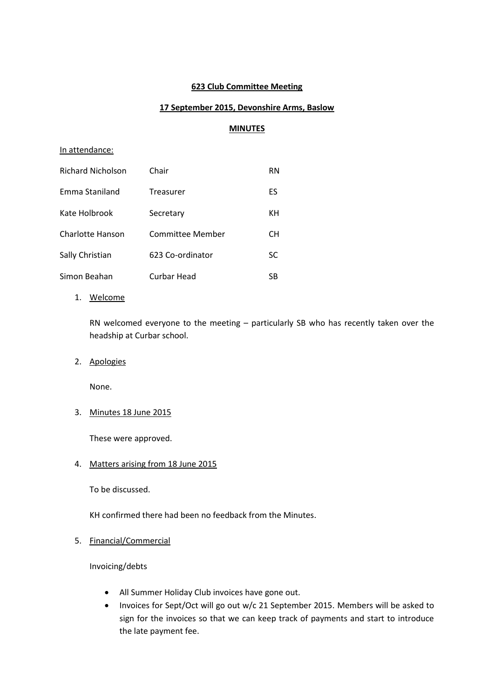### **623 Club Committee Meeting**

# **17 September 2015, Devonshire Arms, Baslow**

### **MINUTES**

### In attendance:

| Richard Nicholson       | Chair              | RN  |
|-------------------------|--------------------|-----|
| Emma Staniland          | Treasurer          | ES  |
| Kate Holbrook           | Secretary          | KН  |
| <b>Charlotte Hanson</b> | Committee Member   | CН  |
| Sally Christian         | 623 Co-ordinator   | SC. |
| Simon Beahan            | <b>Curbar Head</b> | SB  |

1. Welcome

RN welcomed everyone to the meeting – particularly SB who has recently taken over the headship at Curbar school.

2. Apologies

None.

3. Minutes 18 June 2015

These were approved.

4. Matters arising from 18 June 2015

To be discussed.

KH confirmed there had been no feedback from the Minutes.

5. Financial/Commercial

Invoicing/debts

- All Summer Holiday Club invoices have gone out.
- Invoices for Sept/Oct will go out w/c 21 September 2015. Members will be asked to sign for the invoices so that we can keep track of payments and start to introduce the late payment fee.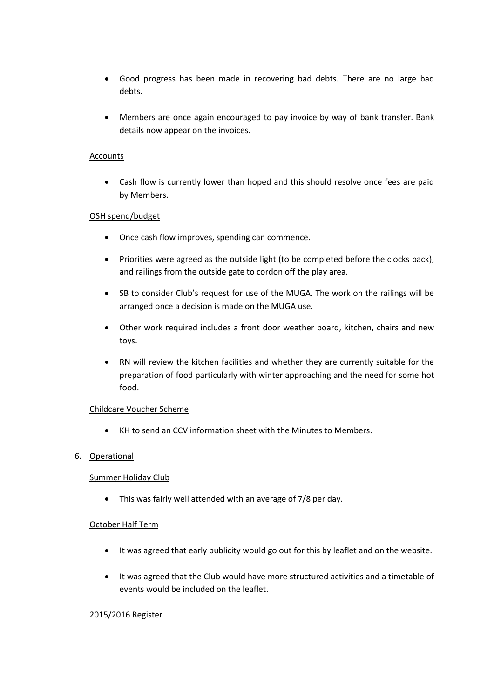- Good progress has been made in recovering bad debts. There are no large bad debts.
- Members are once again encouraged to pay invoice by way of bank transfer. Bank details now appear on the invoices.

### **Accounts**

 Cash flow is currently lower than hoped and this should resolve once fees are paid by Members.

### OSH spend/budget

- Once cash flow improves, spending can commence.
- Priorities were agreed as the outside light (to be completed before the clocks back), and railings from the outside gate to cordon off the play area.
- SB to consider Club's request for use of the MUGA. The work on the railings will be arranged once a decision is made on the MUGA use.
- Other work required includes a front door weather board, kitchen, chairs and new toys.
- RN will review the kitchen facilities and whether they are currently suitable for the preparation of food particularly with winter approaching and the need for some hot food.

### Childcare Voucher Scheme

KH to send an CCV information sheet with the Minutes to Members.

### 6. Operational

### Summer Holiday Club

This was fairly well attended with an average of 7/8 per day.

### October Half Term

- It was agreed that early publicity would go out for this by leaflet and on the website.
- It was agreed that the Club would have more structured activities and a timetable of events would be included on the leaflet.

### 2015/2016 Register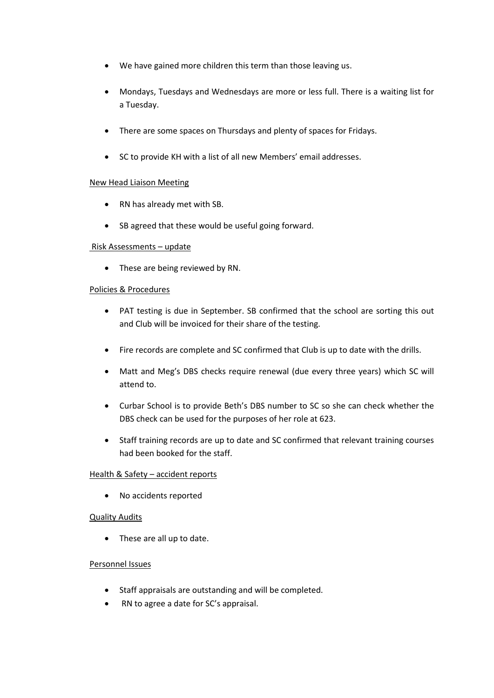- We have gained more children this term than those leaving us.
- Mondays, Tuesdays and Wednesdays are more or less full. There is a waiting list for a Tuesday.
- There are some spaces on Thursdays and plenty of spaces for Fridays.
- SC to provide KH with a list of all new Members' email addresses.

### New Head Liaison Meeting

- RN has already met with SB.
- SB agreed that these would be useful going forward.

#### Risk Assessments – update

• These are being reviewed by RN.

### Policies & Procedures

- PAT testing is due in September. SB confirmed that the school are sorting this out and Club will be invoiced for their share of the testing.
- Fire records are complete and SC confirmed that Club is up to date with the drills.
- Matt and Meg's DBS checks require renewal (due every three years) which SC will attend to.
- Curbar School is to provide Beth's DBS number to SC so she can check whether the DBS check can be used for the purposes of her role at 623.
- Staff training records are up to date and SC confirmed that relevant training courses had been booked for the staff.

### Health & Safety – accident reports

No accidents reported

### Quality Audits

• These are all up to date.

### Personnel Issues

- Staff appraisals are outstanding and will be completed.
- RN to agree a date for SC's appraisal.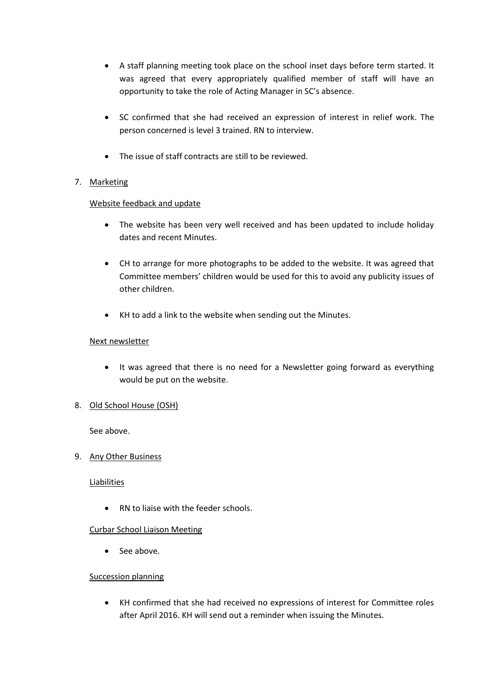- A staff planning meeting took place on the school inset days before term started. It was agreed that every appropriately qualified member of staff will have an opportunity to take the role of Acting Manager in SC's absence.
- SC confirmed that she had received an expression of interest in relief work. The person concerned is level 3 trained. RN to interview.
- The issue of staff contracts are still to be reviewed.

# 7. Marketing

# Website feedback and update

- The website has been very well received and has been updated to include holiday dates and recent Minutes.
- CH to arrange for more photographs to be added to the website. It was agreed that Committee members' children would be used for this to avoid any publicity issues of other children.
- KH to add a link to the website when sending out the Minutes.

### Next newsletter

- It was agreed that there is no need for a Newsletter going forward as everything would be put on the website.
- 8. Old School House (OSH)

See above.

# 9. Any Other Business

**Liabilities** 

• RN to liaise with the feeder schools.

# Curbar School Liaison Meeting

• See above.

# Succession planning

 KH confirmed that she had received no expressions of interest for Committee roles after April 2016. KH will send out a reminder when issuing the Minutes.